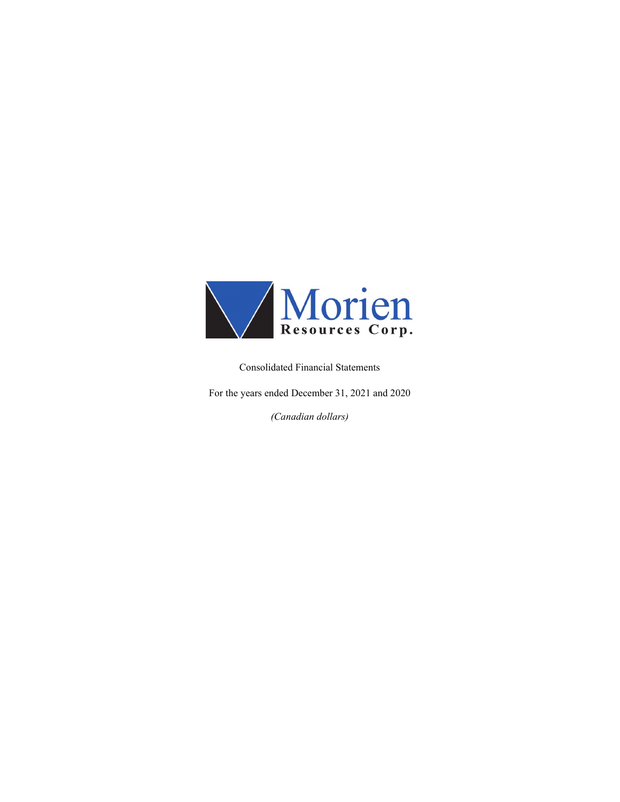

Consolidated Financial Statements

For the years ended December 31, 2021 and 2020

*(Canadian dollars)*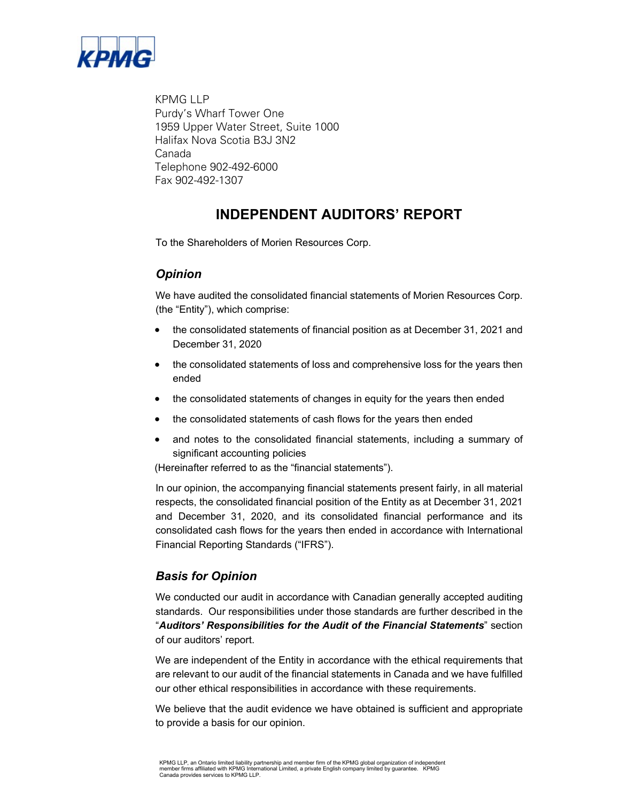

KPMG LLP Purdy's Wharf Tower One 1959 Upper Water Street, Suite 1000 Halifax Nova Scotia B3J 3N2 Canada Telephone 902-492-6000 Fax 902-492-1307

### **INDEPENDENT AUDITORS' REPORT**

To the Shareholders of Morien Resources Corp.

### *Opinion*

We have audited the consolidated financial statements of Morien Resources Corp. (the "Entity"), which comprise:

- the consolidated statements of financial position as at December 31, 2021 and December 31, 2020
- the consolidated statements of loss and comprehensive loss for the years then ended
- the consolidated statements of changes in equity for the years then ended
- the consolidated statements of cash flows for the years then ended
- and notes to the consolidated financial statements, including a summary of significant accounting policies

(Hereinafter referred to as the "financial statements").

In our opinion, the accompanying financial statements present fairly, in all material respects, the consolidated financial position of the Entity as at December 31, 2021 and December 31, 2020, and its consolidated financial performance and its consolidated cash flows for the years then ended in accordance with International Financial Reporting Standards ("IFRS").

### *Basis for Opinion*

We conducted our audit in accordance with Canadian generally accepted auditing standards. Our responsibilities under those standards are further described in the "*Auditors' Responsibilities for the Audit of the Financial Statements*" section of our auditors' report.

We are independent of the Entity in accordance with the ethical requirements that are relevant to our audit of the financial statements in Canada and we have fulfilled our other ethical responsibilities in accordance with these requirements.

We believe that the audit evidence we have obtained is sufficient and appropriate to provide a basis for our opinion.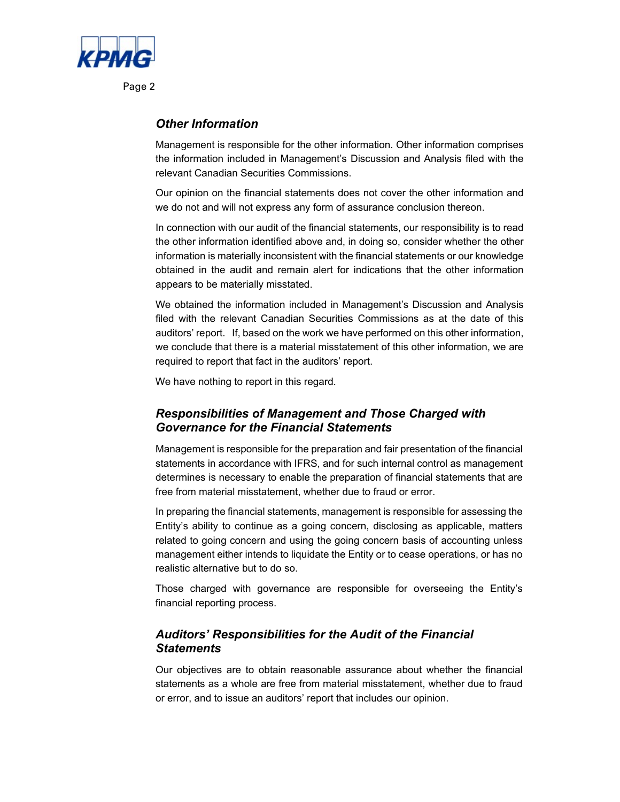

Page 2

### *Other Information*

Management is responsible for the other information. Other information comprises the information included in Management's Discussion and Analysis filed with the relevant Canadian Securities Commissions.

Our opinion on the financial statements does not cover the other information and we do not and will not express any form of assurance conclusion thereon.

In connection with our audit of the financial statements, our responsibility is to read the other information identified above and, in doing so, consider whether the other information is materially inconsistent with the financial statements or our knowledge obtained in the audit and remain alert for indications that the other information appears to be materially misstated.

We obtained the information included in Management's Discussion and Analysis filed with the relevant Canadian Securities Commissions as at the date of this auditors' report. If, based on the work we have performed on this other information, we conclude that there is a material misstatement of this other information, we are required to report that fact in the auditors' report.

We have nothing to report in this regard.

### *Responsibilities of Management and Those Charged with Governance for the Financial Statements*

Management is responsible for the preparation and fair presentation of the financial statements in accordance with IFRS, and for such internal control as management determines is necessary to enable the preparation of financial statements that are free from material misstatement, whether due to fraud or error.

In preparing the financial statements, management is responsible for assessing the Entity's ability to continue as a going concern, disclosing as applicable, matters related to going concern and using the going concern basis of accounting unless management either intends to liquidate the Entity or to cease operations, or has no realistic alternative but to do so.

Those charged with governance are responsible for overseeing the Entity's financial reporting process.

### *Auditors' Responsibilities for the Audit of the Financial Statements*

Our objectives are to obtain reasonable assurance about whether the financial statements as a whole are free from material misstatement, whether due to fraud or error, and to issue an auditors' report that includes our opinion.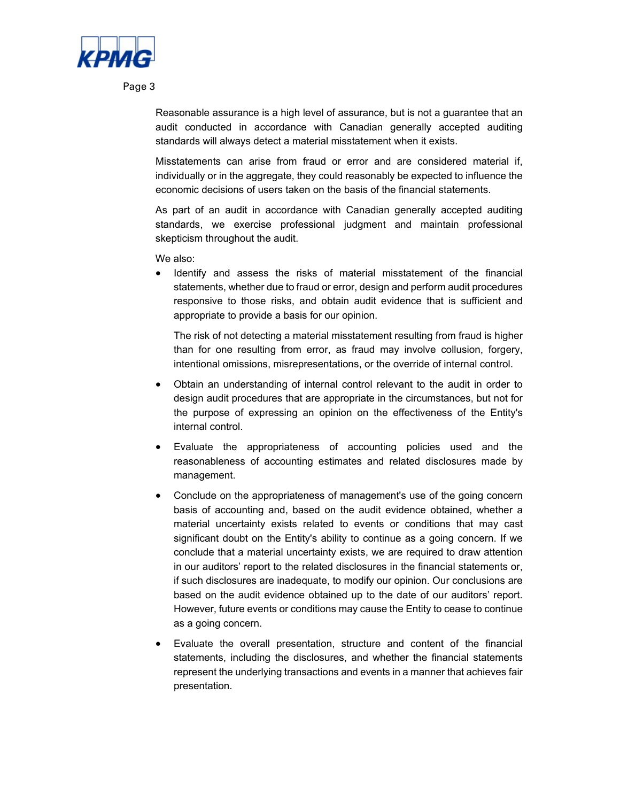

Page 3

Reasonable assurance is a high level of assurance, but is not a guarantee that an audit conducted in accordance with Canadian generally accepted auditing standards will always detect a material misstatement when it exists.

Misstatements can arise from fraud or error and are considered material if, individually or in the aggregate, they could reasonably be expected to influence the economic decisions of users taken on the basis of the financial statements.

As part of an audit in accordance with Canadian generally accepted auditing standards, we exercise professional judgment and maintain professional skepticism throughout the audit.

We also:

• Identify and assess the risks of material misstatement of the financial statements, whether due to fraud or error, design and perform audit procedures responsive to those risks, and obtain audit evidence that is sufficient and appropriate to provide a basis for our opinion.

The risk of not detecting a material misstatement resulting from fraud is higher than for one resulting from error, as fraud may involve collusion, forgery, intentional omissions, misrepresentations, or the override of internal control.

- Obtain an understanding of internal control relevant to the audit in order to design audit procedures that are appropriate in the circumstances, but not for the purpose of expressing an opinion on the effectiveness of the Entity's internal control.
- Evaluate the appropriateness of accounting policies used and the reasonableness of accounting estimates and related disclosures made by management.
- Conclude on the appropriateness of management's use of the going concern basis of accounting and, based on the audit evidence obtained, whether a material uncertainty exists related to events or conditions that may cast significant doubt on the Entity's ability to continue as a going concern. If we conclude that a material uncertainty exists, we are required to draw attention in our auditors' report to the related disclosures in the financial statements or, if such disclosures are inadequate, to modify our opinion. Our conclusions are based on the audit evidence obtained up to the date of our auditors' report. However, future events or conditions may cause the Entity to cease to continue as a going concern.
- Evaluate the overall presentation, structure and content of the financial statements, including the disclosures, and whether the financial statements represent the underlying transactions and events in a manner that achieves fair presentation.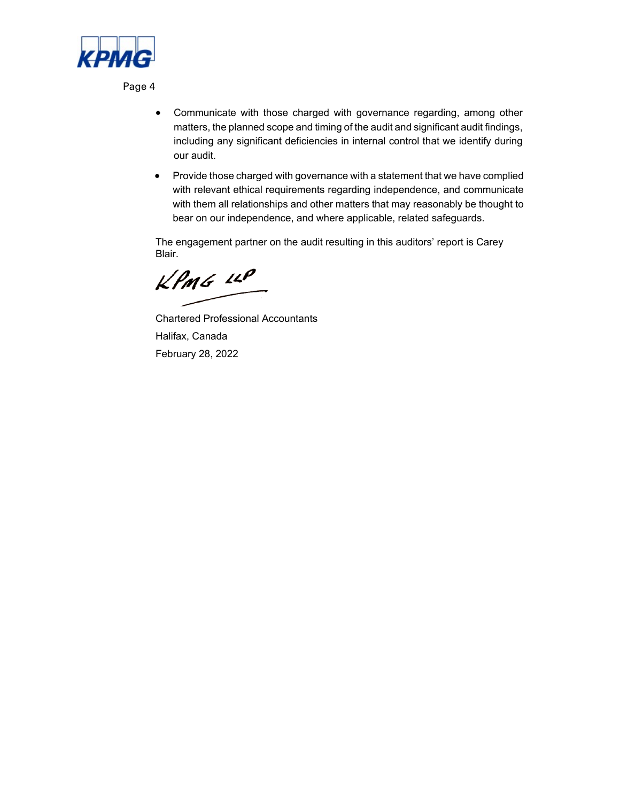

Page 4

- Communicate with those charged with governance regarding, among other matters, the planned scope and timing of the audit and significant audit findings, including any significant deficiencies in internal control that we identify during our audit.
- Provide those charged with governance with a statement that we have complied with relevant ethical requirements regarding independence, and communicate with them all relationships and other matters that may reasonably be thought to bear on our independence, and where applicable, related safeguards.

The engagement partner on the audit resulting in this auditors' report is Carey Blair.

KPMG LLP

Chartered Professional Accountants Halifax, Canada February 28, 2022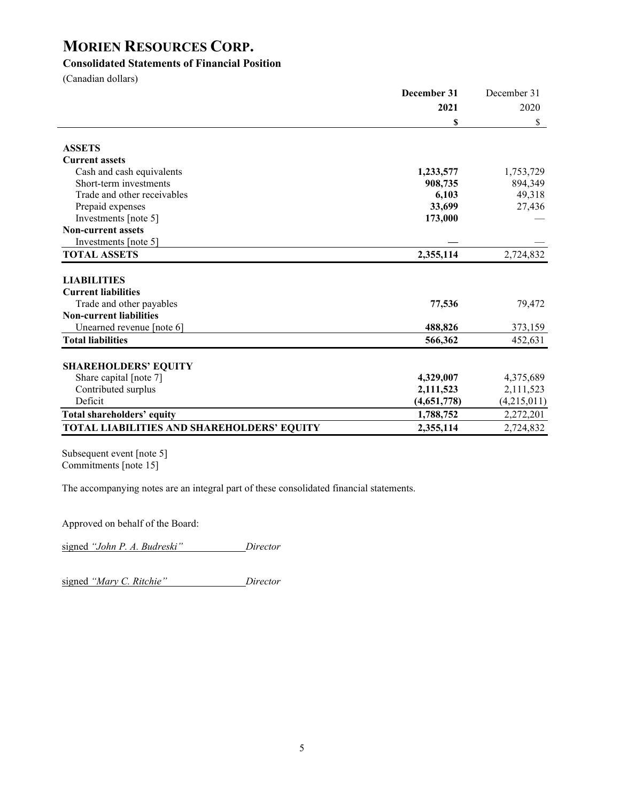### **Consolidated Statements of Financial Position**

(Canadian dollars)

|                                                             | December 31 | December 31 |
|-------------------------------------------------------------|-------------|-------------|
|                                                             | 2021        | 2020        |
|                                                             | S           | \$          |
| <b>ASSETS</b>                                               |             |             |
| <b>Current assets</b>                                       |             |             |
| Cash and cash equivalents                                   | 1,233,577   | 1,753,729   |
| Short-term investments                                      | 908,735     | 894,349     |
| Trade and other receivables                                 | 6,103       | 49,318      |
| Prepaid expenses                                            | 33,699      | 27,436      |
| Investments [note 5]                                        | 173,000     |             |
| <b>Non-current assets</b>                                   |             |             |
| Investments [note 5]                                        |             |             |
| <b>TOTAL ASSETS</b>                                         | 2,355,114   | 2,724,832   |
| <b>LIABILITIES</b>                                          |             |             |
| <b>Current liabilities</b>                                  |             |             |
| Trade and other payables                                    | 77,536      | 79,472      |
| <b>Non-current liabilities</b><br>Unearned revenue [note 6] | 488,826     | 373,159     |
| <b>Total liabilities</b>                                    | 566,362     | 452,631     |
| <b>SHAREHOLDERS' EQUITY</b>                                 |             |             |
| Share capital $[note 7]$                                    | 4,329,007   | 4,375,689   |
| Contributed surplus                                         | 2,111,523   | 2,111,523   |
| Deficit                                                     | (4,651,778) | (4,215,011) |
| Total shareholders' equity                                  | 1,788,752   | 2,272,201   |
| <b>TOTAL LIABILITIES AND SHAREHOLDERS' EQUITY</b>           | 2,355,114   | 2,724,832   |

Subsequent event [note 5] Commitments [note 15]

The accompanying notes are an integral part of these consolidated financial statements.

Approved on behalf of the Board:

signed *"John P. A. Budreski" Director*

signed *"Mary C. Ritchie" Director*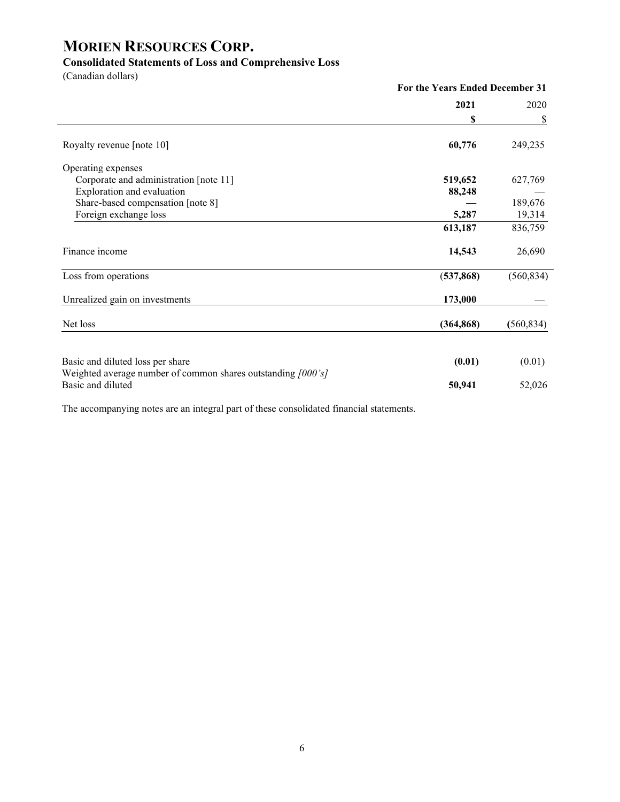### **Consolidated Statements of Loss and Comprehensive Loss**

(Canadian dollars)

| $m_{1}$ $m_{n}$                                                                   | For the Years Ended December 31 |            |
|-----------------------------------------------------------------------------------|---------------------------------|------------|
|                                                                                   | 2021                            | 2020       |
|                                                                                   | \$                              | \$         |
| Royalty revenue [note 10]                                                         | 60,776                          | 249,235    |
| Operating expenses                                                                |                                 |            |
| Corporate and administration [note 11]                                            | 519,652                         | 627,769    |
| Exploration and evaluation                                                        | 88,248                          |            |
| Share-based compensation [note 8]                                                 |                                 | 189,676    |
| Foreign exchange loss                                                             | 5,287                           | 19,314     |
|                                                                                   | 613,187                         | 836,759    |
| Finance income                                                                    | 14,543                          | 26,690     |
| Loss from operations                                                              | (537, 868)                      | (560, 834) |
| Unrealized gain on investments                                                    | 173,000                         |            |
| Net loss                                                                          | (364, 868)                      | (560, 834) |
|                                                                                   |                                 |            |
| Basic and diluted loss per share                                                  | (0.01)                          | (0.01)     |
| Weighted average number of common shares outstanding [000's]<br>Basic and diluted | 50,941                          | 52,026     |
|                                                                                   |                                 |            |

The accompanying notes are an integral part of these consolidated financial statements.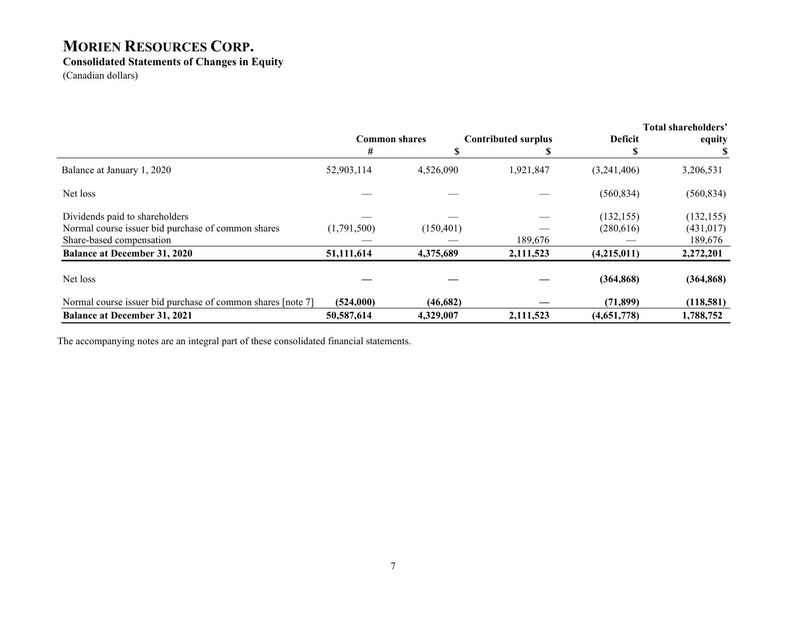### **MORIEN RESOURCES CORP. Consolidated Statements of Changes in Equity**

(Canadian dollars)

|                                                             |                      |            |                            |                | <b>Total shareholders'</b> |
|-------------------------------------------------------------|----------------------|------------|----------------------------|----------------|----------------------------|
|                                                             | <b>Common shares</b> |            | <b>Contributed surplus</b> | <b>Deficit</b> | equity                     |
|                                                             | #                    | S          |                            |                |                            |
| Balance at January 1, 2020                                  | 52,903,114           | 4,526,090  | 1,921,847                  | (3,241,406)    | 3,206,531                  |
| Net loss                                                    |                      |            |                            | (560, 834)     | (560, 834)                 |
| Dividends paid to shareholders                              |                      |            |                            | (132, 155)     | (132, 155)                 |
| Normal course issuer bid purchase of common shares          | (1,791,500)          | (150, 401) |                            | (280,616)      | (431, 017)                 |
| Share-based compensation                                    | __                   |            | 189,676                    |                | 189,676                    |
| <b>Balance at December 31, 2020</b>                         | 51,111,614           | 4,375,689  | 2,111,523                  | (4,215,011)    | 2,272,201                  |
| Net loss                                                    |                      |            |                            | (364, 868)     | (364, 868)                 |
| Normal course issuer bid purchase of common shares [note 7] | (524,000)            | (46,682)   |                            | (71, 899)      | (118,581)                  |
| <b>Balance at December 31, 2021</b>                         | 50,587,614           | 4,329,007  | 2,111,523                  | (4,651,778)    | 1,788,752                  |

The accompanying notes are an integral part of these consolidated financial statements.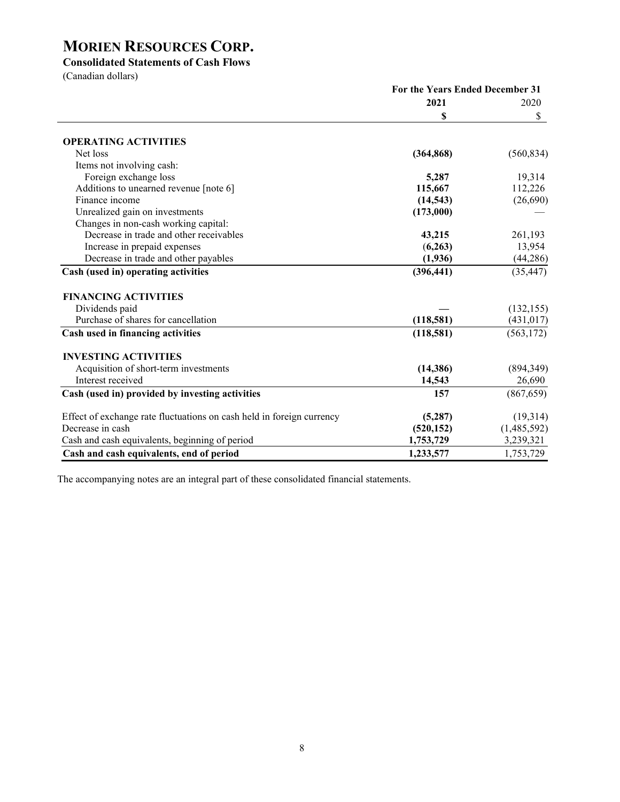### **Consolidated Statements of Cash Flows**

(Canadian dollars)

|                                                                       | For the Years Ended December 31 |             |
|-----------------------------------------------------------------------|---------------------------------|-------------|
|                                                                       | 2021                            | 2020        |
|                                                                       | \$                              | \$          |
| <b>OPERATING ACTIVITIES</b>                                           |                                 |             |
| Net loss                                                              | (364, 868)                      | (560, 834)  |
| Items not involving cash:                                             |                                 |             |
| Foreign exchange loss                                                 | 5,287                           | 19,314      |
| Additions to unearned revenue [note 6]                                | 115,667                         | 112,226     |
| Finance income                                                        | (14, 543)                       | (26,690)    |
| Unrealized gain on investments                                        | (173,000)                       |             |
| Changes in non-cash working capital:                                  |                                 |             |
| Decrease in trade and other receivables                               | 43,215                          | 261,193     |
| Increase in prepaid expenses                                          | (6,263)                         | 13,954      |
| Decrease in trade and other payables                                  | (1,936)                         | (44,286)    |
| Cash (used in) operating activities                                   | (396, 441)                      | (35, 447)   |
| <b>FINANCING ACTIVITIES</b>                                           |                                 |             |
| Dividends paid                                                        |                                 | (132, 155)  |
| Purchase of shares for cancellation                                   | (118, 581)                      | (431, 017)  |
| Cash used in financing activities                                     | (118, 581)                      | (563, 172)  |
| <b>INVESTING ACTIVITIES</b>                                           |                                 |             |
| Acquisition of short-term investments                                 | (14, 386)                       | (894, 349)  |
| Interest received                                                     | 14,543                          | 26,690      |
| Cash (used in) provided by investing activities                       | 157                             | (867, 659)  |
| Effect of exchange rate fluctuations on cash held in foreign currency | (5,287)                         | (19,314)    |
| Decrease in cash                                                      | (520, 152)                      | (1,485,592) |
| Cash and cash equivalents, beginning of period                        | 1,753,729                       | 3,239,321   |
| Cash and cash equivalents, end of period                              | 1,233,577                       | 1,753,729   |

The accompanying notes are an integral part of these consolidated financial statements.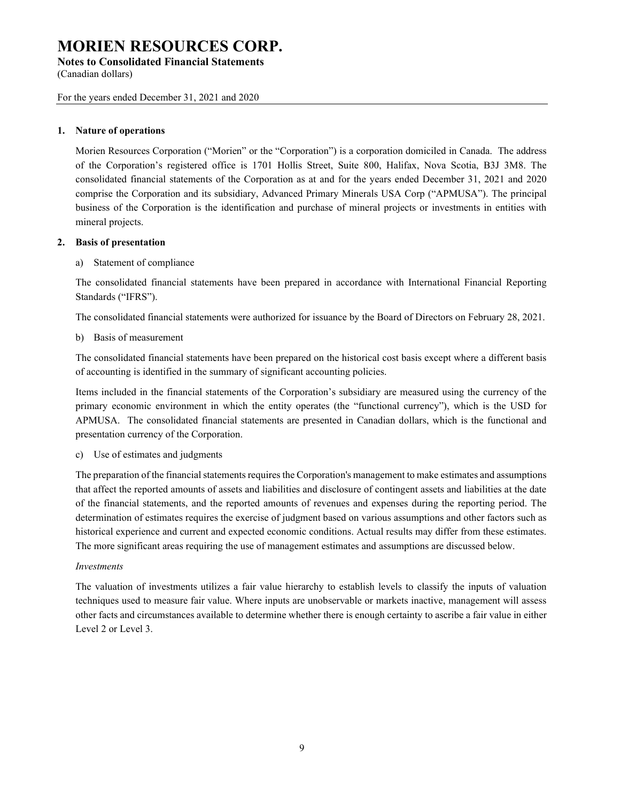#### **Notes to Consolidated Financial Statements**

(Canadian dollars)

For the years ended December 31, 2021 and 2020

#### **1. Nature of operations**

Morien Resources Corporation ("Morien" or the "Corporation") is a corporation domiciled in Canada. The address of the Corporation's registered office is 1701 Hollis Street, Suite 800, Halifax, Nova Scotia, B3J 3M8. The consolidated financial statements of the Corporation as at and for the years ended December 31, 2021 and 2020 comprise the Corporation and its subsidiary, Advanced Primary Minerals USA Corp ("APMUSA"). The principal business of the Corporation is the identification and purchase of mineral projects or investments in entities with mineral projects.

#### **2. Basis of presentation**

a) Statement of compliance

The consolidated financial statements have been prepared in accordance with International Financial Reporting Standards ("IFRS").

The consolidated financial statements were authorized for issuance by the Board of Directors on February 28, 2021.

b) Basis of measurement

The consolidated financial statements have been prepared on the historical cost basis except where a different basis of accounting is identified in the summary of significant accounting policies.

Items included in the financial statements of the Corporation's subsidiary are measured using the currency of the primary economic environment in which the entity operates (the "functional currency"), which is the USD for APMUSA. The consolidated financial statements are presented in Canadian dollars, which is the functional and presentation currency of the Corporation.

c) Use of estimates and judgments

The preparation of the financial statements requires the Corporation's management to make estimates and assumptions that affect the reported amounts of assets and liabilities and disclosure of contingent assets and liabilities at the date of the financial statements, and the reported amounts of revenues and expenses during the reporting period. The determination of estimates requires the exercise of judgment based on various assumptions and other factors such as historical experience and current and expected economic conditions. Actual results may differ from these estimates. The more significant areas requiring the use of management estimates and assumptions are discussed below.

#### *Investments*

The valuation of investments utilizes a fair value hierarchy to establish levels to classify the inputs of valuation techniques used to measure fair value. Where inputs are unobservable or markets inactive, management will assess other facts and circumstances available to determine whether there is enough certainty to ascribe a fair value in either Level 2 or Level 3.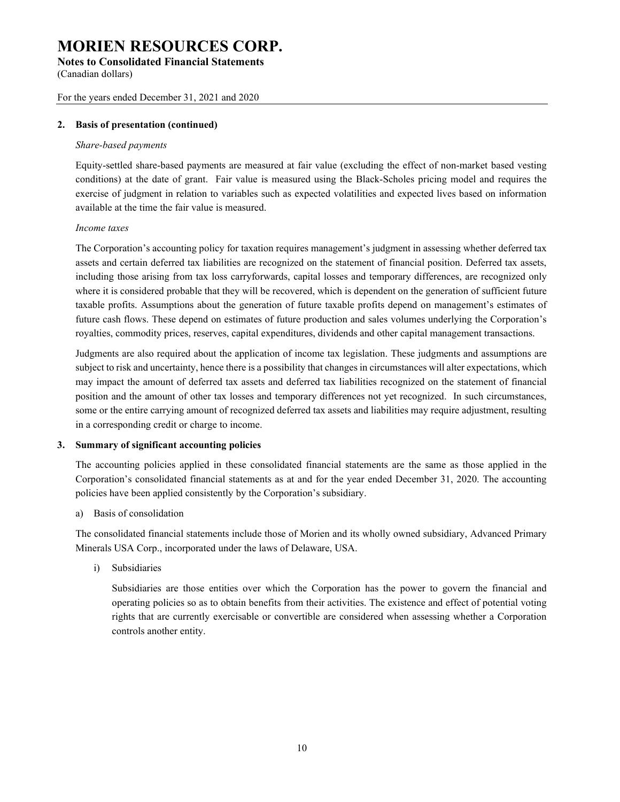#### **Notes to Consolidated Financial Statements**

(Canadian dollars)

For the years ended December 31, 2021 and 2020

#### **2. Basis of presentation (continued)**

#### *Share-based payments*

Equity-settled share-based payments are measured at fair value (excluding the effect of non-market based vesting conditions) at the date of grant. Fair value is measured using the Black-Scholes pricing model and requires the exercise of judgment in relation to variables such as expected volatilities and expected lives based on information available at the time the fair value is measured.

#### *Income taxes*

The Corporation's accounting policy for taxation requires management's judgment in assessing whether deferred tax assets and certain deferred tax liabilities are recognized on the statement of financial position. Deferred tax assets, including those arising from tax loss carryforwards, capital losses and temporary differences, are recognized only where it is considered probable that they will be recovered, which is dependent on the generation of sufficient future taxable profits. Assumptions about the generation of future taxable profits depend on management's estimates of future cash flows. These depend on estimates of future production and sales volumes underlying the Corporation's royalties, commodity prices, reserves, capital expenditures, dividends and other capital management transactions.

Judgments are also required about the application of income tax legislation. These judgments and assumptions are subject to risk and uncertainty, hence there is a possibility that changes in circumstances will alter expectations, which may impact the amount of deferred tax assets and deferred tax liabilities recognized on the statement of financial position and the amount of other tax losses and temporary differences not yet recognized. In such circumstances, some or the entire carrying amount of recognized deferred tax assets and liabilities may require adjustment, resulting in a corresponding credit or charge to income.

#### **3. Summary of significant accounting policies**

The accounting policies applied in these consolidated financial statements are the same as those applied in the Corporation's consolidated financial statements as at and for the year ended December 31, 2020. The accounting policies have been applied consistently by the Corporation's subsidiary.

a) Basis of consolidation

The consolidated financial statements include those of Morien and its wholly owned subsidiary, Advanced Primary Minerals USA Corp., incorporated under the laws of Delaware, USA.

i) Subsidiaries

Subsidiaries are those entities over which the Corporation has the power to govern the financial and operating policies so as to obtain benefits from their activities. The existence and effect of potential voting rights that are currently exercisable or convertible are considered when assessing whether a Corporation controls another entity.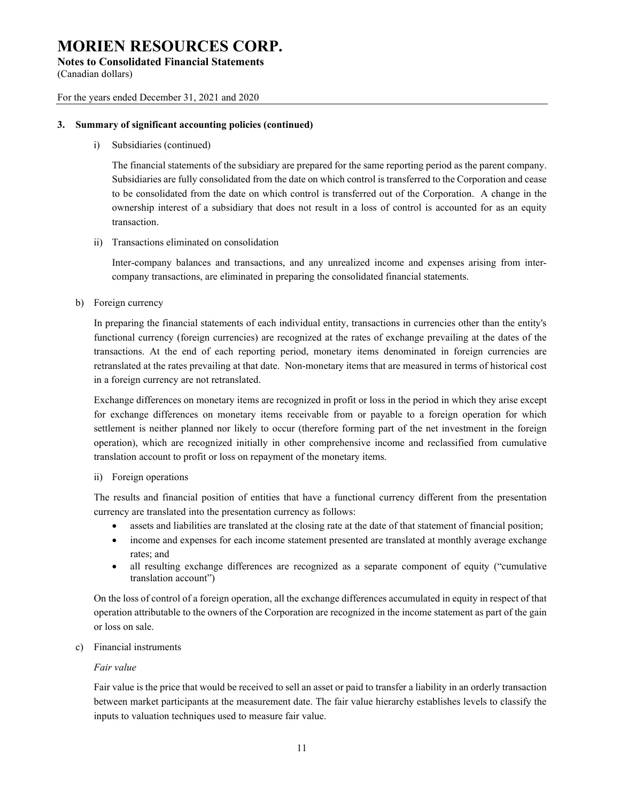**Notes to Consolidated Financial Statements**

(Canadian dollars)

#### For the years ended December 31, 2021 and 2020

#### **3. Summary of significant accounting policies (continued)**

i) Subsidiaries (continued)

The financial statements of the subsidiary are prepared for the same reporting period as the parent company. Subsidiaries are fully consolidated from the date on which control is transferred to the Corporation and cease to be consolidated from the date on which control is transferred out of the Corporation. A change in the ownership interest of a subsidiary that does not result in a loss of control is accounted for as an equity transaction.

ii) Transactions eliminated on consolidation

Inter-company balances and transactions, and any unrealized income and expenses arising from intercompany transactions, are eliminated in preparing the consolidated financial statements.

b) Foreign currency

In preparing the financial statements of each individual entity, transactions in currencies other than the entity's functional currency (foreign currencies) are recognized at the rates of exchange prevailing at the dates of the transactions. At the end of each reporting period, monetary items denominated in foreign currencies are retranslated at the rates prevailing at that date. Non-monetary items that are measured in terms of historical cost in a foreign currency are not retranslated.

Exchange differences on monetary items are recognized in profit or loss in the period in which they arise except for exchange differences on monetary items receivable from or payable to a foreign operation for which settlement is neither planned nor likely to occur (therefore forming part of the net investment in the foreign operation), which are recognized initially in other comprehensive income and reclassified from cumulative translation account to profit or loss on repayment of the monetary items.

#### ii) Foreign operations

The results and financial position of entities that have a functional currency different from the presentation currency are translated into the presentation currency as follows:

- assets and liabilities are translated at the closing rate at the date of that statement of financial position;
- income and expenses for each income statement presented are translated at monthly average exchange rates; and
- all resulting exchange differences are recognized as a separate component of equity ("cumulative translation account")

On the loss of control of a foreign operation, all the exchange differences accumulated in equity in respect of that operation attributable to the owners of the Corporation are recognized in the income statement as part of the gain or loss on sale.

c) Financial instruments

#### *Fair value*

Fair value is the price that would be received to sell an asset or paid to transfer a liability in an orderly transaction between market participants at the measurement date. The fair value hierarchy establishes levels to classify the inputs to valuation techniques used to measure fair value.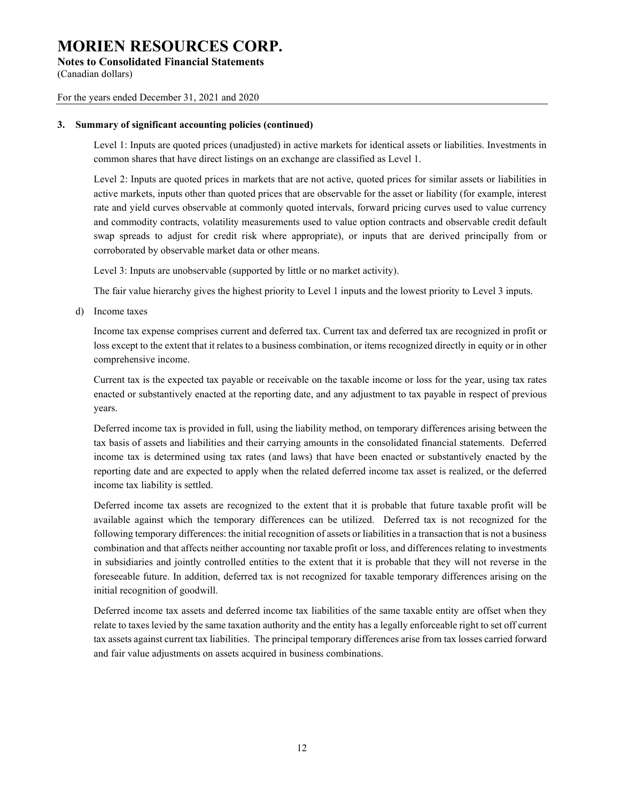**Notes to Consolidated Financial Statements**

(Canadian dollars)

#### For the years ended December 31, 2021 and 2020

#### **3. Summary of significant accounting policies (continued)**

Level 1: Inputs are quoted prices (unadjusted) in active markets for identical assets or liabilities. Investments in common shares that have direct listings on an exchange are classified as Level 1.

Level 2: Inputs are quoted prices in markets that are not active, quoted prices for similar assets or liabilities in active markets, inputs other than quoted prices that are observable for the asset or liability (for example, interest rate and yield curves observable at commonly quoted intervals, forward pricing curves used to value currency and commodity contracts, volatility measurements used to value option contracts and observable credit default swap spreads to adjust for credit risk where appropriate), or inputs that are derived principally from or corroborated by observable market data or other means.

Level 3: Inputs are unobservable (supported by little or no market activity).

The fair value hierarchy gives the highest priority to Level 1 inputs and the lowest priority to Level 3 inputs.

d) Income taxes

Income tax expense comprises current and deferred tax. Current tax and deferred tax are recognized in profit or loss except to the extent that it relates to a business combination, or items recognized directly in equity or in other comprehensive income.

Current tax is the expected tax payable or receivable on the taxable income or loss for the year, using tax rates enacted or substantively enacted at the reporting date, and any adjustment to tax payable in respect of previous years.

Deferred income tax is provided in full, using the liability method, on temporary differences arising between the tax basis of assets and liabilities and their carrying amounts in the consolidated financial statements. Deferred income tax is determined using tax rates (and laws) that have been enacted or substantively enacted by the reporting date and are expected to apply when the related deferred income tax asset is realized, or the deferred income tax liability is settled.

Deferred income tax assets are recognized to the extent that it is probable that future taxable profit will be available against which the temporary differences can be utilized. Deferred tax is not recognized for the following temporary differences: the initial recognition of assets or liabilities in a transaction that is not a business combination and that affects neither accounting nor taxable profit or loss, and differences relating to investments in subsidiaries and jointly controlled entities to the extent that it is probable that they will not reverse in the foreseeable future. In addition, deferred tax is not recognized for taxable temporary differences arising on the initial recognition of goodwill.

Deferred income tax assets and deferred income tax liabilities of the same taxable entity are offset when they relate to taxes levied by the same taxation authority and the entity has a legally enforceable right to set off current tax assets against current tax liabilities. The principal temporary differences arise from tax losses carried forward and fair value adjustments on assets acquired in business combinations.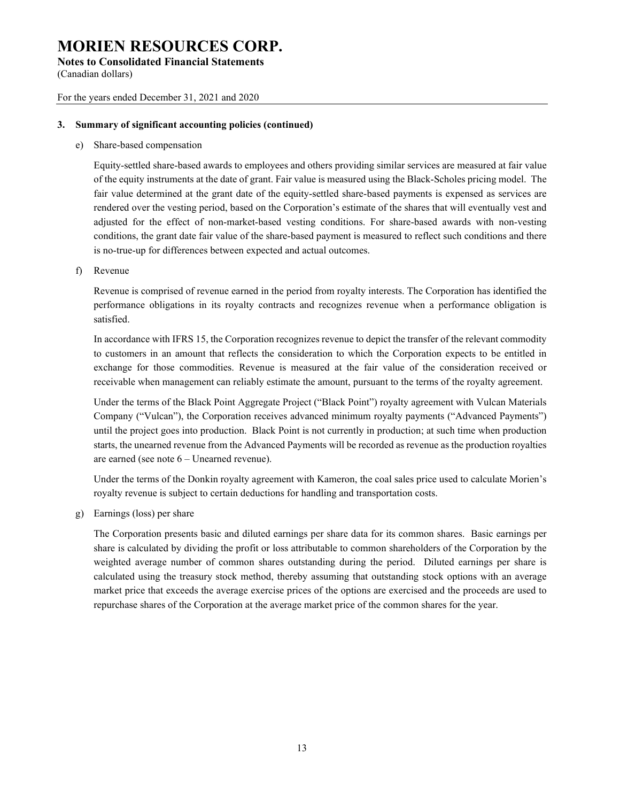**Notes to Consolidated Financial Statements**

(Canadian dollars)

For the years ended December 31, 2021 and 2020

#### **3. Summary of significant accounting policies (continued)**

e) Share-based compensation

Equity-settled share-based awards to employees and others providing similar services are measured at fair value of the equity instruments at the date of grant. Fair value is measured using the Black-Scholes pricing model. The fair value determined at the grant date of the equity-settled share-based payments is expensed as services are rendered over the vesting period, based on the Corporation's estimate of the shares that will eventually vest and adjusted for the effect of non-market-based vesting conditions. For share-based awards with non-vesting conditions, the grant date fair value of the share-based payment is measured to reflect such conditions and there is no-true-up for differences between expected and actual outcomes.

f) Revenue

Revenue is comprised of revenue earned in the period from royalty interests. The Corporation has identified the performance obligations in its royalty contracts and recognizes revenue when a performance obligation is satisfied.

In accordance with IFRS 15, the Corporation recognizes revenue to depict the transfer of the relevant commodity to customers in an amount that reflects the consideration to which the Corporation expects to be entitled in exchange for those commodities. Revenue is measured at the fair value of the consideration received or receivable when management can reliably estimate the amount, pursuant to the terms of the royalty agreement.

Under the terms of the Black Point Aggregate Project ("Black Point") royalty agreement with Vulcan Materials Company ("Vulcan"), the Corporation receives advanced minimum royalty payments ("Advanced Payments") until the project goes into production. Black Point is not currently in production; at such time when production starts, the unearned revenue from the Advanced Payments will be recorded as revenue as the production royalties are earned (see note 6 – Unearned revenue).

Under the terms of the Donkin royalty agreement with Kameron, the coal sales price used to calculate Morien's royalty revenue is subject to certain deductions for handling and transportation costs.

g) Earnings (loss) per share

The Corporation presents basic and diluted earnings per share data for its common shares. Basic earnings per share is calculated by dividing the profit or loss attributable to common shareholders of the Corporation by the weighted average number of common shares outstanding during the period. Diluted earnings per share is calculated using the treasury stock method, thereby assuming that outstanding stock options with an average market price that exceeds the average exercise prices of the options are exercised and the proceeds are used to repurchase shares of the Corporation at the average market price of the common shares for the year.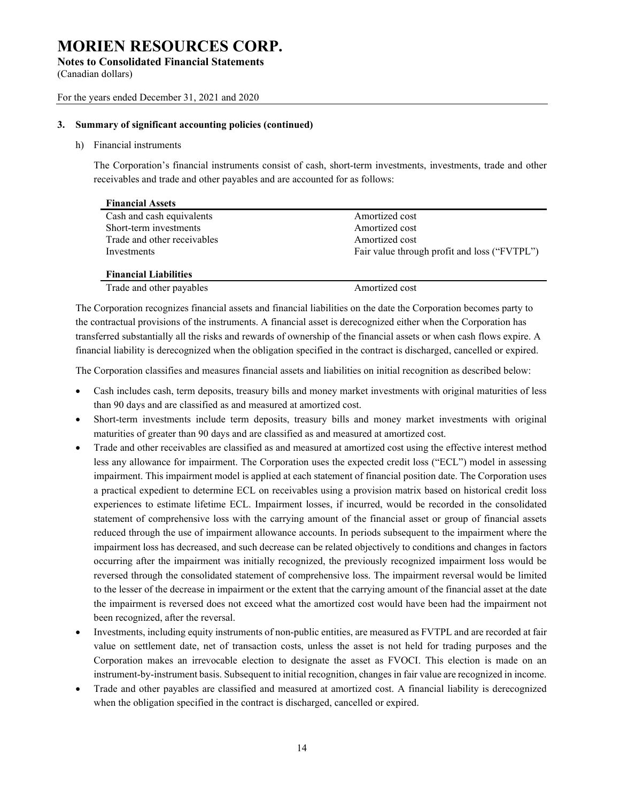**Notes to Consolidated Financial Statements**

(Canadian dollars)

For the years ended December 31, 2021 and 2020

#### **3. Summary of significant accounting policies (continued)**

h) Financial instruments

The Corporation's financial instruments consist of cash, short-term investments, investments, trade and other receivables and trade and other payables and are accounted for as follows:

| <b>Financial Assets</b>      |                                              |
|------------------------------|----------------------------------------------|
| Cash and cash equivalents    | Amortized cost                               |
| Short-term investments       | Amortized cost                               |
| Trade and other receivables  | Amortized cost                               |
| Investments                  | Fair value through profit and loss ("FVTPL") |
|                              |                                              |
| <b>Financial Liabilities</b> |                                              |

Trade and other payables Amortized cost

The Corporation recognizes financial assets and financial liabilities on the date the Corporation becomes party to the contractual provisions of the instruments. A financial asset is derecognized either when the Corporation has transferred substantially all the risks and rewards of ownership of the financial assets or when cash flows expire. A financial liability is derecognized when the obligation specified in the contract is discharged, cancelled or expired.

The Corporation classifies and measures financial assets and liabilities on initial recognition as described below:

- Cash includes cash, term deposits, treasury bills and money market investments with original maturities of less than 90 days and are classified as and measured at amortized cost.
- Short-term investments include term deposits, treasury bills and money market investments with original maturities of greater than 90 days and are classified as and measured at amortized cost.
- Trade and other receivables are classified as and measured at amortized cost using the effective interest method less any allowance for impairment. The Corporation uses the expected credit loss ("ECL") model in assessing impairment. This impairment model is applied at each statement of financial position date. The Corporation uses a practical expedient to determine ECL on receivables using a provision matrix based on historical credit loss experiences to estimate lifetime ECL. Impairment losses, if incurred, would be recorded in the consolidated statement of comprehensive loss with the carrying amount of the financial asset or group of financial assets reduced through the use of impairment allowance accounts. In periods subsequent to the impairment where the impairment loss has decreased, and such decrease can be related objectively to conditions and changes in factors occurring after the impairment was initially recognized, the previously recognized impairment loss would be reversed through the consolidated statement of comprehensive loss. The impairment reversal would be limited to the lesser of the decrease in impairment or the extent that the carrying amount of the financial asset at the date the impairment is reversed does not exceed what the amortized cost would have been had the impairment not been recognized, after the reversal.
- Investments, including equity instruments of non-public entities, are measured as FVTPL and are recorded at fair value on settlement date, net of transaction costs, unless the asset is not held for trading purposes and the Corporation makes an irrevocable election to designate the asset as FVOCI. This election is made on an instrument-by-instrument basis. Subsequent to initial recognition, changes in fair value are recognized in income.
- Trade and other payables are classified and measured at amortized cost. A financial liability is derecognized when the obligation specified in the contract is discharged, cancelled or expired.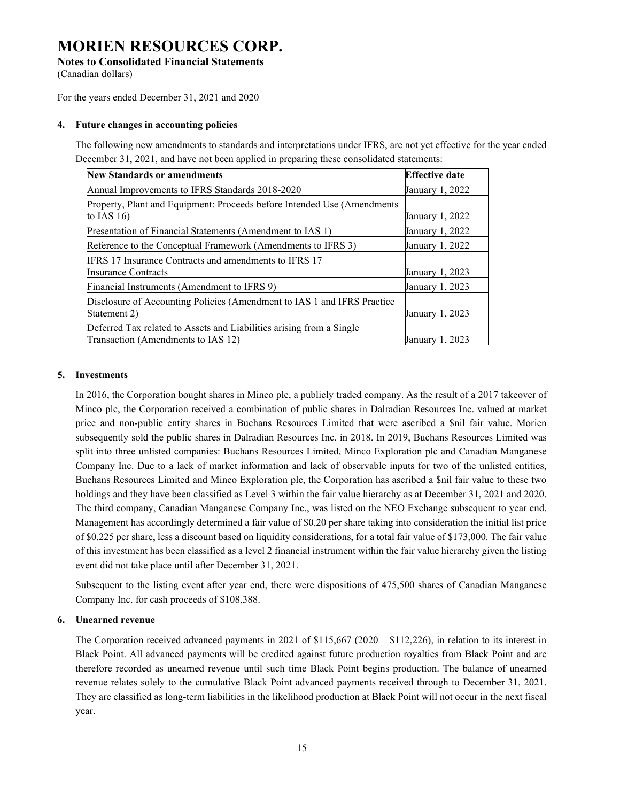#### **Notes to Consolidated Financial Statements**

(Canadian dollars)

#### For the years ended December 31, 2021 and 2020

#### **4. Future changes in accounting policies**

The following new amendments to standards and interpretations under IFRS, are not yet effective for the year ended December 31, 2021, and have not been applied in preparing these consolidated statements:

| <b>New Standards or amendments</b>                                      | <b>Effective date</b> |
|-------------------------------------------------------------------------|-----------------------|
| Annual Improvements to IFRS Standards 2018-2020                         | January 1, 2022       |
| Property, Plant and Equipment: Proceeds before Intended Use (Amendments |                       |
| to IAS $16$                                                             | January 1, 2022       |
| Presentation of Financial Statements (Amendment to IAS 1)               | January 1, 2022       |
| Reference to the Conceptual Framework (Amendments to IFRS 3)            | January 1, 2022       |
| <b>IFRS</b> 17 Insurance Contracts and amendments to IFRS 17            |                       |
| Insurance Contracts                                                     | January 1, 2023       |
| Financial Instruments (Amendment to IFRS 9)                             | January 1, 2023       |
| Disclosure of Accounting Policies (Amendment to IAS 1 and IFRS Practice |                       |
| Statement 2)                                                            | January 1, 2023       |
| Deferred Tax related to Assets and Liabilities arising from a Single    |                       |
| Transaction (Amendments to IAS 12)                                      | January 1, 2023       |

#### **5. Investments**

In 2016, the Corporation bought shares in Minco plc, a publicly traded company. As the result of a 2017 takeover of Minco plc, the Corporation received a combination of public shares in Dalradian Resources Inc. valued at market price and non-public entity shares in Buchans Resources Limited that were ascribed a \$nil fair value. Morien subsequently sold the public shares in Dalradian Resources Inc. in 2018. In 2019, Buchans Resources Limited was split into three unlisted companies: Buchans Resources Limited, Minco Exploration plc and Canadian Manganese Company Inc. Due to a lack of market information and lack of observable inputs for two of the unlisted entities, Buchans Resources Limited and Minco Exploration plc, the Corporation has ascribed a \$nil fair value to these two holdings and they have been classified as Level 3 within the fair value hierarchy as at December 31, 2021 and 2020. The third company, Canadian Manganese Company Inc., was listed on the NEO Exchange subsequent to year end. Management has accordingly determined a fair value of \$0.20 per share taking into consideration the initial list price of \$0.225 per share, less a discount based on liquidity considerations, for a total fair value of \$173,000. The fair value of this investment has been classified as a level 2 financial instrument within the fair value hierarchy given the listing event did not take place until after December 31, 2021.

Subsequent to the listing event after year end, there were dispositions of 475,500 shares of Canadian Manganese Company Inc. for cash proceeds of \$108,388.

#### **6. Unearned revenue**

The Corporation received advanced payments in 2021 of \$115,667 (2020 – \$112,226), in relation to its interest in Black Point. All advanced payments will be credited against future production royalties from Black Point and are therefore recorded as unearned revenue until such time Black Point begins production. The balance of unearned revenue relates solely to the cumulative Black Point advanced payments received through to December 31, 2021. They are classified as long-term liabilities in the likelihood production at Black Point will not occur in the next fiscal year.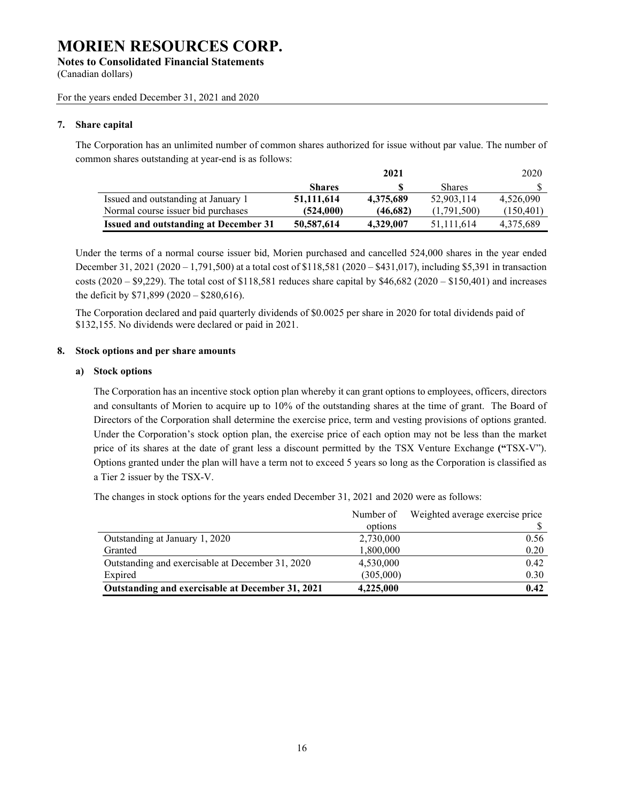#### **Notes to Consolidated Financial Statements**

(Canadian dollars)

For the years ended December 31, 2021 and 2020

#### **7. Share capital**

The Corporation has an unlimited number of common shares authorized for issue without par value. The number of common shares outstanding at year-end is as follows:

|                                              |               | 2021      |               | 2020       |
|----------------------------------------------|---------------|-----------|---------------|------------|
|                                              | <b>Shares</b> |           | <b>Shares</b> |            |
| Issued and outstanding at January 1          | 51,111,614    | 4.375.689 | 52,903,114    | 4.526,090  |
| Normal course issuer bid purchases           | (524,000)     | (46,682)  | (1,791,500)   | (150, 401) |
| <b>Issued and outstanding at December 31</b> | 50,587,614    | 4.329,007 | 51.111.614    | 4,375,689  |

Under the terms of a normal course issuer bid, Morien purchased and cancelled 524,000 shares in the year ended December 31, 2021 (2020 – 1,791,500) at a total cost of \$118,581 (2020 – \$431,017), including \$5,391 in transaction costs (2020 – \$9,229). The total cost of \$118,581 reduces share capital by \$46,682 (2020 – \$150,401) and increases the deficit by \$71,899 (2020 – \$280,616).

The Corporation declared and paid quarterly dividends of \$0.0025 per share in 2020 for total dividends paid of \$132,155. No dividends were declared or paid in 2021.

#### **8. Stock options and per share amounts**

#### **a) Stock options**

The Corporation has an incentive stock option plan whereby it can grant options to employees, officers, directors and consultants of Morien to acquire up to 10% of the outstanding shares at the time of grant. The Board of Directors of the Corporation shall determine the exercise price, term and vesting provisions of options granted. Under the Corporation's stock option plan, the exercise price of each option may not be less than the market price of its shares at the date of grant less a discount permitted by the TSX Venture Exchange **("**TSX-V"). Options granted under the plan will have a term not to exceed 5 years so long as the Corporation is classified as a Tier 2 issuer by the TSX-V.

The changes in stock options for the years ended December 31, 2021 and 2020 were as follows:

|                                                  | Number of | Weighted average exercise price |
|--------------------------------------------------|-----------|---------------------------------|
|                                                  | options   |                                 |
| Outstanding at January 1, 2020                   | 2,730,000 | 0.56                            |
| Granted                                          | 1,800,000 | 0.20                            |
| Outstanding and exercisable at December 31, 2020 | 4,530,000 | 0.42                            |
| Expired                                          | (305,000) | 0.30                            |
| Outstanding and exercisable at December 31, 2021 | 4,225,000 | 0.42                            |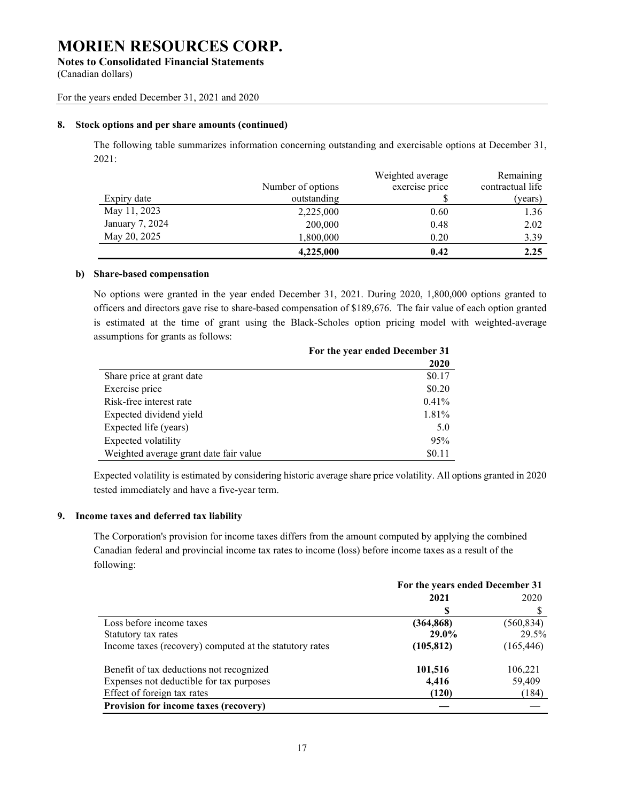**Notes to Consolidated Financial Statements**

(Canadian dollars)

#### For the years ended December 31, 2021 and 2020

#### **8. Stock options and per share amounts (continued)**

The following table summarizes information concerning outstanding and exercisable options at December 31, 2021:

|                 |                   | Weighted average | Remaining        |
|-----------------|-------------------|------------------|------------------|
|                 | Number of options | exercise price   | contractual life |
| Expiry date     | outstanding       |                  | 'years)          |
| May 11, 2023    | 2,225,000         | 0.60             | 1.36             |
| January 7, 2024 | 200,000           | 0.48             | 2.02             |
| May 20, 2025    | 1,800,000         | 0.20             | 3.39             |
|                 | 4,225,000         | 0.42             | 2.25             |

#### **b) Share-based compensation**

No options were granted in the year ended December 31, 2021. During 2020, 1,800,000 options granted to officers and directors gave rise to share-based compensation of \$189,676. The fair value of each option granted is estimated at the time of grant using the Black-Scholes option pricing model with weighted-average assumptions for grants as follows:

|                                        | For the year ended December 31 |
|----------------------------------------|--------------------------------|
|                                        | 2020                           |
| Share price at grant date              | \$0.17                         |
| Exercise price                         | \$0.20                         |
| Risk-free interest rate                | 0.41%                          |
| Expected dividend yield                | 1.81%                          |
| Expected life (years)                  | 5.0                            |
| Expected volatility                    | 95%                            |
| Weighted average grant date fair value | \$0.11                         |

Expected volatility is estimated by considering historic average share price volatility. All options granted in 2020 tested immediately and have a five-year term.

#### **9. Income taxes and deferred tax liability**

The Corporation's provision for income taxes differs from the amount computed by applying the combined Canadian federal and provincial income tax rates to income (loss) before income taxes as a result of the following:

|                                                         | For the years ended December 31 |            |
|---------------------------------------------------------|---------------------------------|------------|
|                                                         | 2021                            | 2020       |
|                                                         | S                               |            |
| Loss before income taxes                                | (364, 868)                      | (560, 834) |
| Statutory tax rates                                     | $29.0\%$                        | 29.5%      |
| Income taxes (recovery) computed at the statutory rates | (105, 812)                      | (165, 446) |
| Benefit of tax deductions not recognized                | 101,516                         | 106,221    |
| Expenses not deductible for tax purposes                | 4,416                           | 59,409     |
| Effect of foreign tax rates                             | (120)                           | (184)      |
| Provision for income taxes (recovery)                   |                                 |            |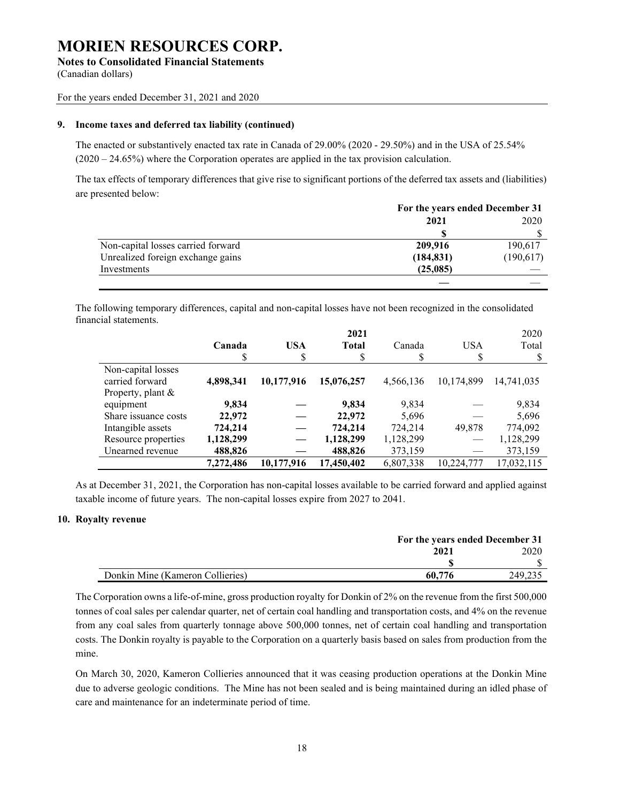#### **Notes to Consolidated Financial Statements**

(Canadian dollars)

#### For the years ended December 31, 2021 and 2020

#### **9. Income taxes and deferred tax liability (continued)**

The enacted or substantively enacted tax rate in Canada of 29.00% (2020 - 29.50%) and in the USA of 25.54% (2020 – 24.65%) where the Corporation operates are applied in the tax provision calculation.

The tax effects of temporary differences that give rise to significant portions of the deferred tax assets and (liabilities) are presented below:

|                                    | For the years ended December 31 |           |
|------------------------------------|---------------------------------|-----------|
|                                    | 2021                            | 2020      |
|                                    |                                 |           |
| Non-capital losses carried forward | 209,916                         | 190,617   |
| Unrealized foreign exchange gains  | (184, 831)                      | (190,617) |
| Investments                        | (25,085)                        |           |
|                                    |                                 |           |

The following temporary differences, capital and non-capital losses have not been recognized in the consolidated financial statements.

|                      |           |            | 2021         |           |            | 2020       |
|----------------------|-----------|------------|--------------|-----------|------------|------------|
|                      | Canada    | <b>USA</b> | <b>Total</b> | Canada    | <b>USA</b> | Total      |
|                      | \$        | \$         | \$           | \$        |            |            |
| Non-capital losses   |           |            |              |           |            |            |
| carried forward      | 4,898,341 | 10,177,916 | 15,076,257   | 4,566,136 | 10,174,899 | 14.741.035 |
| Property, plant &    |           |            |              |           |            |            |
| equipment            | 9,834     |            | 9,834        | 9,834     |            | 9,834      |
| Share issuance costs | 22,972    |            | 22,972       | 5,696     |            | 5,696      |
| Intangible assets    | 724,214   |            | 724,214      | 724,214   | 49,878     | 774,092    |
| Resource properties  | 1,128,299 |            | 1,128,299    | 1,128,299 |            | 1,128,299  |
| Unearned revenue     | 488,826   |            | 488,826      | 373,159   |            | 373,159    |
|                      | 7,272,486 | 10.177.916 | 17,450,402   | 6,807,338 | 10,224,777 | 17,032,115 |

As at December 31, 2021, the Corporation has non-capital losses available to be carried forward and applied against taxable income of future years. The non-capital losses expire from 2027 to 2041.

#### **10. Royalty revenue**

|                                  | For the years ended December 31 |         |  |
|----------------------------------|---------------------------------|---------|--|
|                                  | 2021                            | 2020    |  |
|                                  |                                 |         |  |
| Donkin Mine (Kameron Collieries) | 60,776                          | 249.235 |  |

The Corporation owns a life-of-mine, gross production royalty for Donkin of 2% on the revenue from the first 500,000 tonnes of coal sales per calendar quarter, net of certain coal handling and transportation costs, and 4% on the revenue from any coal sales from quarterly tonnage above 500,000 tonnes, net of certain coal handling and transportation costs. The Donkin royalty is payable to the Corporation on a quarterly basis based on sales from production from the mine.

On March 30, 2020, Kameron Collieries announced that it was ceasing production operations at the Donkin Mine due to adverse geologic conditions. The Mine has not been sealed and is being maintained during an idled phase of care and maintenance for an indeterminate period of time.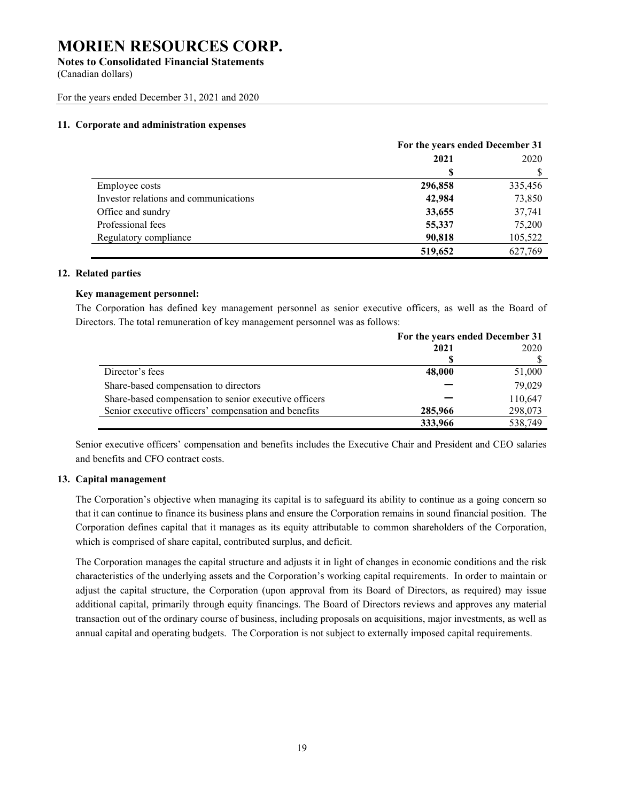#### **Notes to Consolidated Financial Statements**

(Canadian dollars)

For the years ended December 31, 2021 and 2020

#### **11. Corporate and administration expenses**

|                                       | For the years ended December 31 |         |  |
|---------------------------------------|---------------------------------|---------|--|
|                                       | 2021                            | 2020    |  |
|                                       |                                 |         |  |
| Employee costs                        | 296,858                         | 335,456 |  |
| Investor relations and communications | 42,984                          | 73,850  |  |
| Office and sundry                     | 33,655                          | 37,741  |  |
| Professional fees                     | 55,337                          | 75,200  |  |
| Regulatory compliance                 | 90,818                          | 105,522 |  |
|                                       | 519,652                         | 627,769 |  |

#### **12. Related parties**

#### **Key management personnel:**

The Corporation has defined key management personnel as senior executive officers, as well as the Board of Directors. The total remuneration of key management personnel was as follows:

|                                                       | For the years ended December 31 |         |  |
|-------------------------------------------------------|---------------------------------|---------|--|
|                                                       | 2021<br>2020                    |         |  |
|                                                       |                                 |         |  |
| Director's fees                                       | 48,000                          | 51,000  |  |
| Share-based compensation to directors                 |                                 | 79,029  |  |
| Share-based compensation to senior executive officers |                                 | 110,647 |  |
| Senior executive officers' compensation and benefits  | 285,966                         | 298,073 |  |
|                                                       | 333,966                         | 538,749 |  |

Senior executive officers' compensation and benefits includes the Executive Chair and President and CEO salaries and benefits and CFO contract costs.

#### **13. Capital management**

The Corporation's objective when managing its capital is to safeguard its ability to continue as a going concern so that it can continue to finance its business plans and ensure the Corporation remains in sound financial position. The Corporation defines capital that it manages as its equity attributable to common shareholders of the Corporation, which is comprised of share capital, contributed surplus, and deficit.

The Corporation manages the capital structure and adjusts it in light of changes in economic conditions and the risk characteristics of the underlying assets and the Corporation's working capital requirements. In order to maintain or adjust the capital structure, the Corporation (upon approval from its Board of Directors, as required) may issue additional capital, primarily through equity financings. The Board of Directors reviews and approves any material transaction out of the ordinary course of business, including proposals on acquisitions, major investments, as well as annual capital and operating budgets. The Corporation is not subject to externally imposed capital requirements.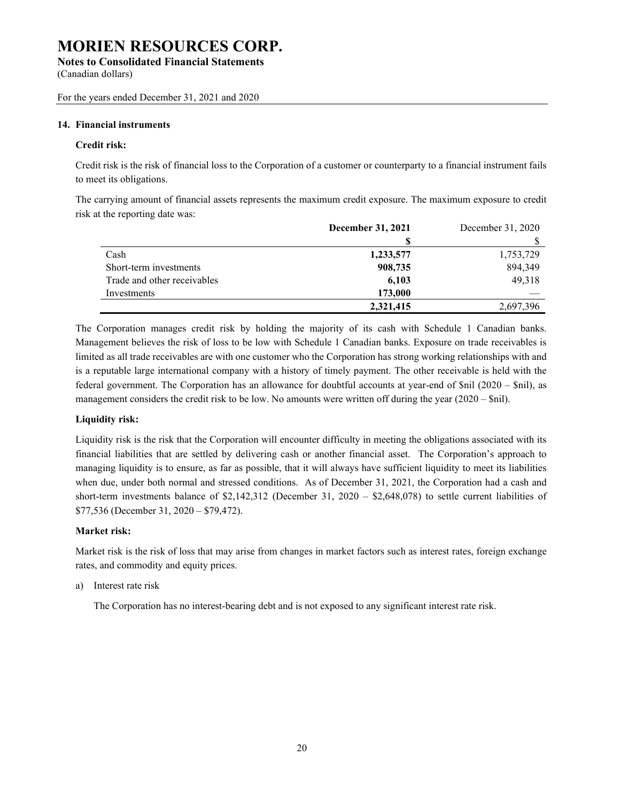#### **Notes to Consolidated Financial Statements**

(Canadian dollars)

For the years ended December 31, 2021 and 2020

#### **14. Financial instruments**

#### **Credit risk:**

Credit risk is the risk of financial loss to the Corporation of a customer or counterparty to a financial instrument fails to meet its obligations.

The carrying amount of financial assets represents the maximum credit exposure. The maximum exposure to credit risk at the reporting date was:

|                             | <b>December 31, 2021</b> | December 31, 2020 |
|-----------------------------|--------------------------|-------------------|
|                             |                          |                   |
| Cash                        | 1,233,577                | 1,753,729         |
| Short-term investments      | 908,735                  | 894.349           |
| Trade and other receivables | 6,103                    | 49,318            |
| Investments                 | 173,000                  |                   |
|                             | 2,321,415                | 2,697,396         |

The Corporation manages credit risk by holding the majority of its cash with Schedule 1 Canadian banks. Management believes the risk of loss to be low with Schedule 1 Canadian banks. Exposure on trade receivables is limited as all trade receivables are with one customer who the Corporation has strong working relationships with and is a reputable large international company with a history of timely payment. The other receivable is held with the federal government. The Corporation has an allowance for doubtful accounts at year-end of \$nil (2020 – \$nil), as management considers the credit risk to be low. No amounts were written off during the year (2020 – \$nil).

#### **Liquidity risk:**

Liquidity risk is the risk that the Corporation will encounter difficulty in meeting the obligations associated with its financial liabilities that are settled by delivering cash or another financial asset. The Corporation's approach to managing liquidity is to ensure, as far as possible, that it will always have sufficient liquidity to meet its liabilities when due, under both normal and stressed conditions. As of December 31, 2021, the Corporation had a cash and short-term investments balance of \$2,142,312 (December 31, 2020 – \$2,648,078) to settle current liabilities of \$77,536 (December 31, 2020 – \$79,472).

#### **Market risk:**

Market risk is the risk of loss that may arise from changes in market factors such as interest rates, foreign exchange rates, and commodity and equity prices.

a) Interest rate risk

The Corporation has no interest-bearing debt and is not exposed to any significant interest rate risk.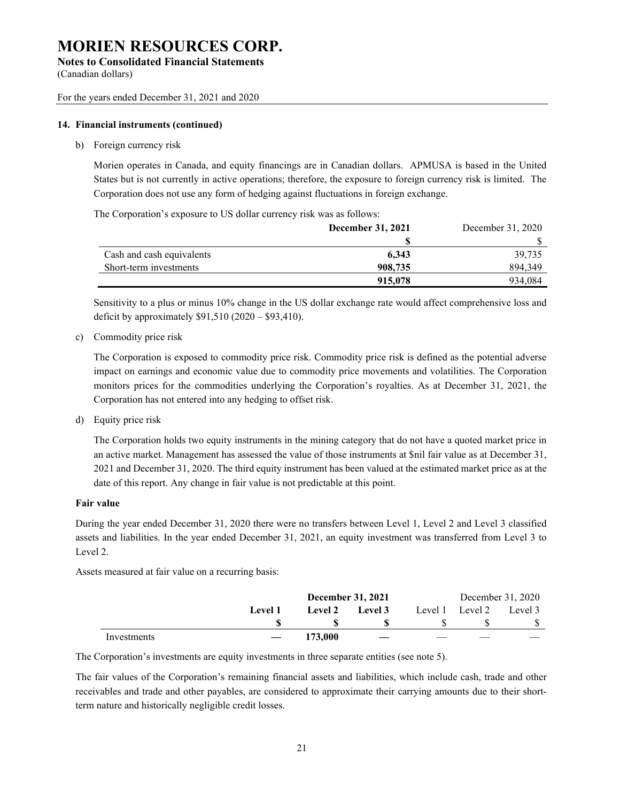#### **Notes to Consolidated Financial Statements**

(Canadian dollars)

For the years ended December 31, 2021 and 2020

#### **14. Financial instruments (continued)**

b) Foreign currency risk

Morien operates in Canada, and equity financings are in Canadian dollars. APMUSA is based in the United States but is not currently in active operations; therefore, the exposure to foreign currency risk is limited. The Corporation does not use any form of hedging against fluctuations in foreign exchange.

The Corporation's exposure to US dollar currency risk was as follows:

|                           | <b>December 31, 2021</b> | December 31, 2020 |
|---------------------------|--------------------------|-------------------|
|                           |                          |                   |
| Cash and cash equivalents | 6,343                    | 39,735            |
| Short-term investments    | 908,735                  | 894,349           |
|                           | 915,078                  | 934.084           |

Sensitivity to a plus or minus 10% change in the US dollar exchange rate would affect comprehensive loss and deficit by approximately \$91,510 (2020 – \$93,410).

c) Commodity price risk

The Corporation is exposed to commodity price risk. Commodity price risk is defined as the potential adverse impact on earnings and economic value due to commodity price movements and volatilities. The Corporation monitors prices for the commodities underlying the Corporation's royalties. As at December 31, 2021, the Corporation has not entered into any hedging to offset risk.

d) Equity price risk

The Corporation holds two equity instruments in the mining category that do not have a quoted market price in an active market. Management has assessed the value of those instruments at \$nil fair value as at December 31, 2021 and December 31, 2020. The third equity instrument has been valued at the estimated market price as at the date of this report. Any change in fair value is not predictable at this point.

#### **Fair value**

During the year ended December 31, 2020 there were no transfers between Level 1, Level 2 and Level 3 classified assets and liabilities. In the year ended December 31, 2021, an equity investment was transferred from Level 3 to Level 2.

Assets measured at fair value on a recurring basis:

|             | <b>December 31, 2021</b> |         |                 | December 31, 2020       |  |  |
|-------------|--------------------------|---------|-----------------|-------------------------|--|--|
|             | Level 1                  |         | Level 2 Level 3 | Level 1 Level 2 Level 3 |  |  |
|             |                          |         |                 |                         |  |  |
| Investments |                          | 173,000 |                 |                         |  |  |

The Corporation's investments are equity investments in three separate entities (see note 5).

The fair values of the Corporation's remaining financial assets and liabilities, which include cash, trade and other receivables and trade and other payables, are considered to approximate their carrying amounts due to their shortterm nature and historically negligible credit losses.